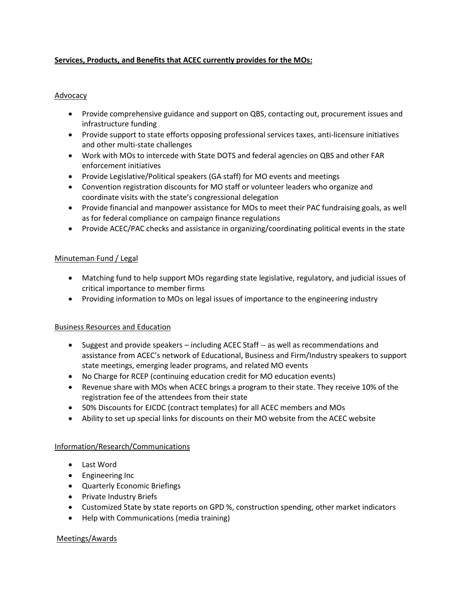# **Services, Products, and Benefits that ACEC currently provides for the MOs:**

## Advocacy

- Provide comprehensive guidance and support on QBS, contacting out, procurement issues and infrastructure funding
- Provide support to state efforts opposing professional services taxes, anti-licensure initiatives and other multi-state challenges
- Work with MOs to intercede with State DOTS and federal agencies on QBS and other FAR enforcement initiatives
- Provide Legislative/Political speakers (GA staff) for MO events and meetings
- Convention registration discounts for MO staff or volunteer leaders who organize and coordinate visits with the state's congressional delegation
- Provide financial and manpower assistance for MOs to meet their PAC fundraising goals, as well as for federal compliance on campaign finance regulations
- Provide ACEC/PAC checks and assistance in organizing/coordinating political events in the state

### Minuteman Fund / Legal

- Matching fund to help support MOs regarding state legislative, regulatory, and judicial issues of critical importance to member firms
- Providing information to MOs on legal issues of importance to the engineering industry

### Business Resources and Education

- Suggest and provide speakers including ACEC Staff -- as well as recommendations and assistance from ACEC's network of Educational, Business and Firm/Industry speakers to support state meetings, emerging leader programs, and related MO events
- No Charge for RCEP (continuing education credit for MO education events)
- Revenue share with MOs when ACEC brings a program to their state. They receive 10% of the registration fee of the attendees from their state
- 50% Discounts for EJCDC (contract templates) for all ACEC members and MOs
- Ability to set up special links for discounts on their MO website from the ACEC website

### Information/Research/Communications

- Last Word
- Engineering Inc
- Quarterly Economic Briefings
- Private Industry Briefs
- Customized State by state reports on GPD %, construction spending, other market indicators
- Help with Communications (media training)

### Meetings/Awards